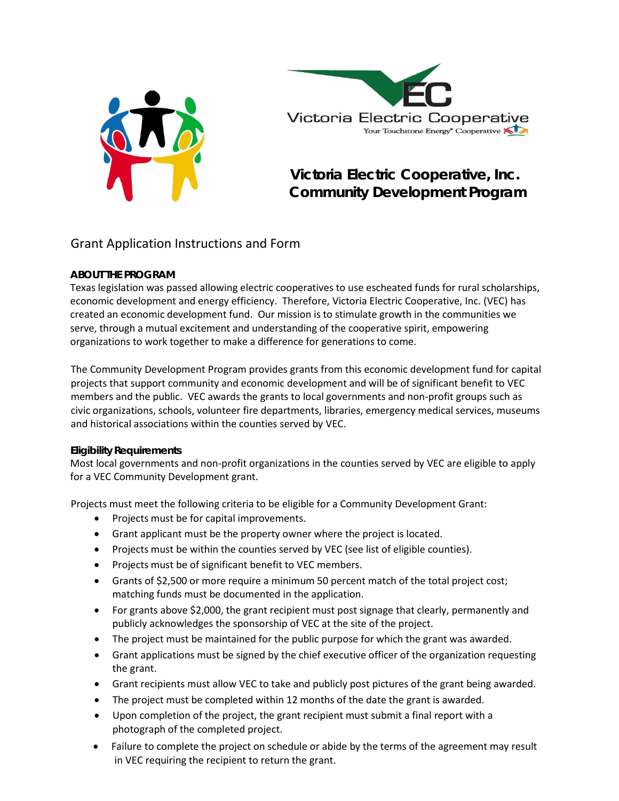



# **Victoria Electric Cooperative, Inc. Community Development Program**

### Grant Application Instructions and Form

### **ABOUT THE PROGRAM**

Texas legislation was passed allowing electric cooperatives to use escheated funds for rural scholarships, economic development and energy efficiency. Therefore, Victoria Electric Cooperative, Inc. (VEC) has created an economic development fund. Our mission is to stimulate growth in the communities we serve, through a mutual excitement and understanding of the cooperative spirit, empowering organizations to work together to make a difference for generations to come.

The Community Development Program provides grants from this economic development fund for capital projects that support community and economic development and will be of significant benefit to VEC members and the public. VEC awards the grants to local governments and non‐profit groups such as civic organizations, schools, volunteer fire departments, libraries, emergency medical services, museums and historical associations within the counties served by VEC.

### **Eligibility Requirements**

Most local governments and non‐profit organizations in the counties served by VEC are eligible to apply for a VEC Community Development grant.

Projects must meet the following criteria to be eligible for a Community Development Grant:

- Projects must be for capital improvements.
- Grant applicant must be the property owner where the project is located.
- Projects must be within the counties served by VEC (see list of eligible counties).
- Projects must be of significant benefit to VEC members.
- Grants of \$2,500 or more require a minimum 50 percent match of the total project cost; matching funds must be documented in the application.
- For grants above \$2,000, the grant recipient must post signage that clearly, permanently and publicly acknowledges the sponsorship of VEC at the site of the project.
- The project must be maintained for the public purpose for which the grant was awarded.
- Grant applications must be signed by the chief executive officer of the organization requesting the grant.
- Grant recipients must allow VEC to take and publicly post pictures of the grant being awarded.
- The project must be completed within 12 months of the date the grant is awarded.
- Upon completion of the project, the grant recipient must submit a final report with a photograph of the completed project.
- Failure to complete the project on schedule or abide by the terms of the agreement may result in VEC requiring the recipient to return the grant.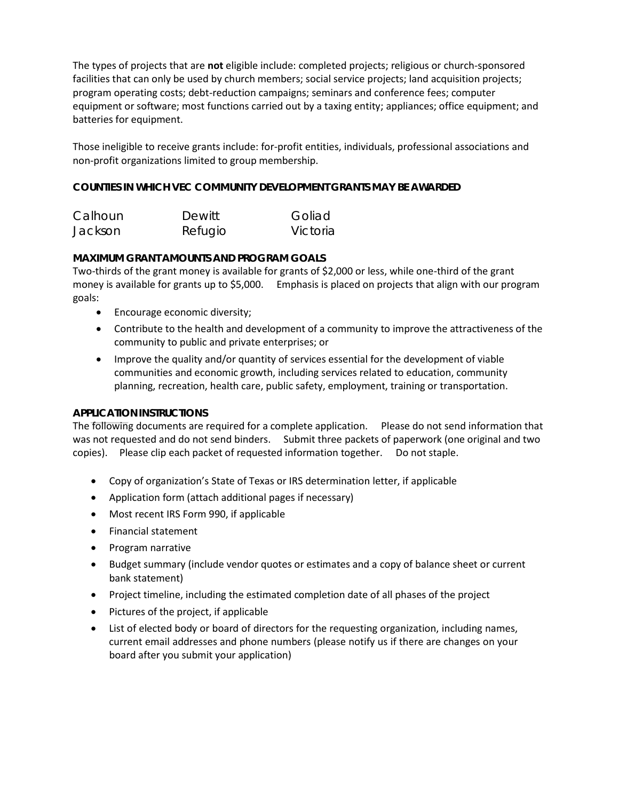The types of projects that are **not** eligible include: completed projects; religious or church‐sponsored facilities that can only be used by church members; social service projects; land acquisition projects; program operating costs; debt‐reduction campaigns; seminars and conference fees; computer equipment or software; most functions carried out by a taxing entity; appliances; office equipment; and batteries for equipment.

Those ineligible to receive grants include: for‐profit entities, individuals, professional associations and non‐profit organizations limited to group membership.

### **COUNTIES IN WHICH VEC COMMUNITY DEVELOPMENT GRANTS MAY BE AWARDED**

| Calhoun | Dewitt  | Goliad   |
|---------|---------|----------|
| Jackson | Refugio | Victoria |

#### **MAXIMUM GRANT AMOUNTS AND PROGRAM GOALS**

Two-thirds of the grant money is available for grants of \$2,000 or less, while one-third of the grant money is available for grants up to \$5,000. Emphasis is placed on projects that align with our program goals:

- Encourage economic diversity;
- Contribute to the health and development of a community to improve the attractiveness of the community to public and private enterprises; or
- Improve the quality and/or quantity of services essential for the development of viable communities and economic growth, including services related to education, community planning, recreation, health care, public safety, employment, training or transportation.

#### **APPLICATION INSTRUCTIONS**

The following documents are required for a complete application. Please do not send information that was not requested and do not send binders. Submit three packets of paperwork (one original and two copies). Please clip each packet of requested information together. Do not staple.

- Copy of organization's State of Texas or IRS determination letter, if applicable
- Application form (attach additional pages if necessary)
- Most recent IRS Form 990, if applicable
- Financial statement
- Program narrative
- Budget summary (include vendor quotes or estimates and a copy of balance sheet or current bank statement)
- Project timeline, including the estimated completion date of all phases of the project
- Pictures of the project, if applicable
- List of elected body or board of directors for the requesting organization, including names, current email addresses and phone numbers (please notify us if there are changes on your board after you submit your application)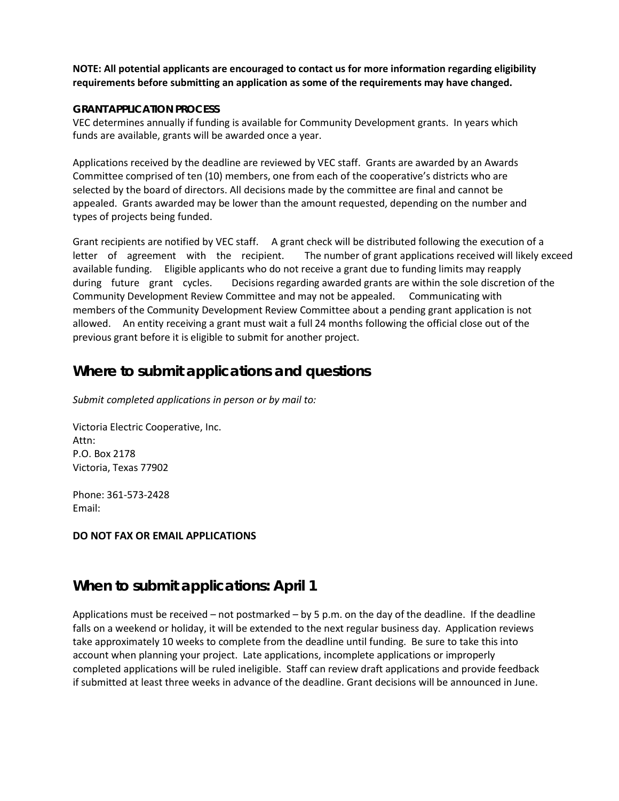### **NOTE: All potential applicants are encouraged to contact us for more information regarding eligibility requirements before submitting an application as some of the requirements may have changed.**

#### **GRANT APPLICATION PROCESS**

VEC determines annually if funding is available for Community Development grants. In years which funds are available, grants will be awarded once a year.

Applications received by the deadline are reviewed by VEC staff. Grants are awarded by an Awards Committee comprised of ten (10) members, one from each of the cooperative's districts who are selected by the board of directors. All decisions made by the committee are final and cannot be appealed. Grants awarded may be lower than the amount requested, depending on the number and types of projects being funded.

Grant recipients are notified by VEC staff. A grant check will be distributed following the execution of a letter of agreement with the recipient. The number of grant applications received will likely exceed available funding. Eligible applicants who do not receive a grant due to funding limits may reapply during future grant cycles. Decisions regarding awarded grants are within the sole discretion of the Community Development Review Committee and may not be appealed. Communicating with members of the Community Development Review Committee about a pending grant application is not allowed. An entity receiving a grant must wait a full 24 months following the official close out of the previous grant before it is eligible to submit for another project.

## **Where to submit applications and questions**

*Submit completed applications in person or by mail to:*

Victoria Electric Cooperative, Inc. Attn: P.O. Box 2178 Victoria, Texas 77902

Phone: 361‐573‐2428 Email:

**DO NOT FAX OR EMAIL APPLICATIONS**

## **When to submit applications: April 1**

Applications must be received – not postmarked – by 5 p.m. on the day of the deadline. If the deadline falls on a weekend or holiday, it will be extended to the next regular business day. Application reviews take approximately 10 weeks to complete from the deadline until funding. Be sure to take this into account when planning your project. Late applications, incomplete applications or improperly completed applications will be ruled ineligible. Staff can review draft applications and provide feedback if submitted at least three weeks in advance of the deadline. Grant decisions will be announced in June.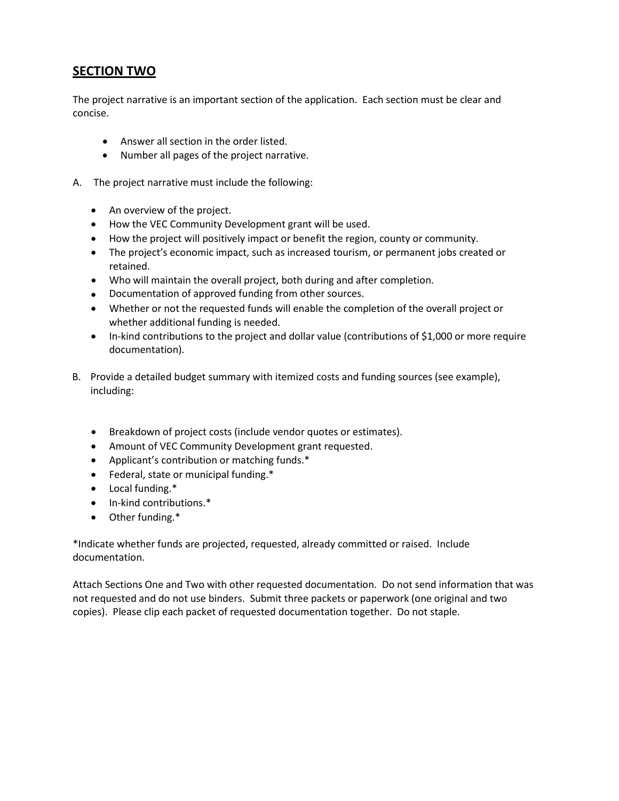## **SECTION TWO**

The project narrative is an important section of the application. Each section must be clear and concise.

- Answer all section in the order listed.
- Number all pages of the project narrative.
- A. The project narrative must include the following:
	- An overview of the project.
	- How the VEC Community Development grant will be used.
	- How the project will positively impact or benefit the region, county or community.
	- The project's economic impact, such as increased tourism, or permanent jobs created or retained.
	- Who will maintain the overall project, both during and after completion.
	- Documentation of approved funding from other sources.
	- Whether or not the requested funds will enable the completion of the overall project or whether additional funding is needed.
	- In-kind contributions to the project and dollar value (contributions of \$1,000 or more require documentation).
- B. Provide a detailed budget summary with itemized costs and funding sources (see example), including:
	- Breakdown of project costs (include vendor quotes or estimates).
	- Amount of VEC Community Development grant requested.
	- Applicant's contribution or matching funds.\*
	- Federal, state or municipal funding.\*
	- Local funding.\*
	- In-kind contributions.\*
	- Other funding.\*

\*Indicate whether funds are projected, requested, already committed or raised. Include documentation.

Attach Sections One and Two with other requested documentation. Do not send information that was not requested and do not use binders. Submit three packets or paperwork (one original and two copies). Please clip each packet of requested documentation together. Do not staple.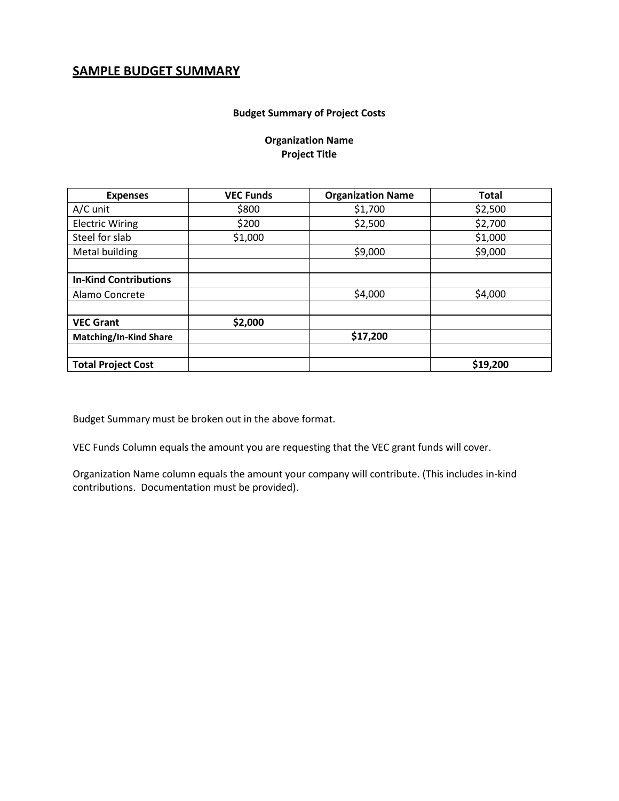## **SAMPLE BUDGET SUMMARY**

#### **Budget Summary of Project Costs**

### **Organization Name Project Title**

| <b>Expenses</b>               | <b>VEC Funds</b> | <b>Organization Name</b> | <b>Total</b> |  |
|-------------------------------|------------------|--------------------------|--------------|--|
| A/C unit                      | \$800            | \$1,700                  | \$2,500      |  |
| <b>Electric Wiring</b>        | \$200            | \$2,500                  | \$2,700      |  |
| Steel for slab                | \$1,000          |                          | \$1,000      |  |
| Metal building                |                  | \$9,000                  | \$9,000      |  |
|                               |                  |                          |              |  |
| <b>In-Kind Contributions</b>  |                  |                          |              |  |
| Alamo Concrete                |                  | \$4,000                  | \$4,000      |  |
|                               |                  |                          |              |  |
| <b>VEC Grant</b>              | \$2,000          |                          |              |  |
| <b>Matching/In-Kind Share</b> |                  | \$17,200                 |              |  |
|                               |                  |                          |              |  |
| <b>Total Project Cost</b>     |                  |                          | \$19,200     |  |

Budget Summary must be broken out in the above format.

VEC Funds Column equals the amount you are requesting that the VEC grant funds will cover.

Organization Name column equals the amount your company will contribute. (This includes in‐kind contributions. Documentation must be provided).